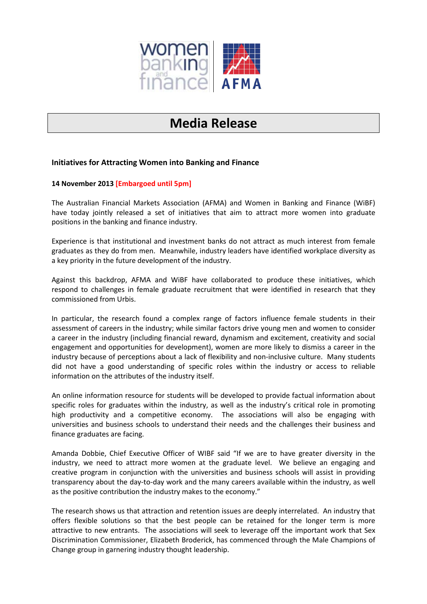

# **Media Release**

## **Initiatives for Attracting Women into Banking and Finance**

### **14 November 2013 [Embargoed until 5pm]**

The Australian Financial Markets Association (AFMA) and Women in Banking and Finance (WiBF) have today jointly released a set of initiatives that aim to attract more women into graduate positions in the banking and finance industry.

Experience is that institutional and investment banks do not attract as much interest from female graduates as they do from men. Meanwhile, industry leaders have identified workplace diversity as a key priority in the future development of the industry.

Against this backdrop, AFMA and WiBF have collaborated to produce these initiatives, which respond to challenges in female graduate recruitment that were identified in research that they commissioned from Urbis.

In particular, the research found a complex range of factors influence female students in their assessment of careers in the industry; while similar factors drive young men and women to consider a career in the industry (including financial reward, dynamism and excitement, creativity and social engagement and opportunities for development), women are more likely to dismiss a career in the industry because of perceptions about a lack of flexibility and non-inclusive culture. Many students did not have a good understanding of specific roles within the industry or access to reliable information on the attributes of the industry itself.

An online information resource for students will be developed to provide factual information about specific roles for graduates within the industry, as well as the industry's critical role in promoting high productivity and a competitive economy. The associations will also be engaging with universities and business schools to understand their needs and the challenges their business and finance graduates are facing.

Amanda Dobbie, Chief Executive Officer of WIBF said "If we are to have greater diversity in the industry, we need to attract more women at the graduate level. We believe an engaging and creative program in conjunction with the universities and business schools will assist in providing transparency about the day-to-day work and the many careers available within the industry, as well as the positive contribution the industry makes to the economy."

The research shows us that attraction and retention issues are deeply interrelated. An industry that offers flexible solutions so that the best people can be retained for the longer term is more attractive to new entrants. The associations will seek to leverage off the important work that Sex Discrimination Commissioner, Elizabeth Broderick, has commenced through the Male Champions of Change group in garnering industry thought leadership.